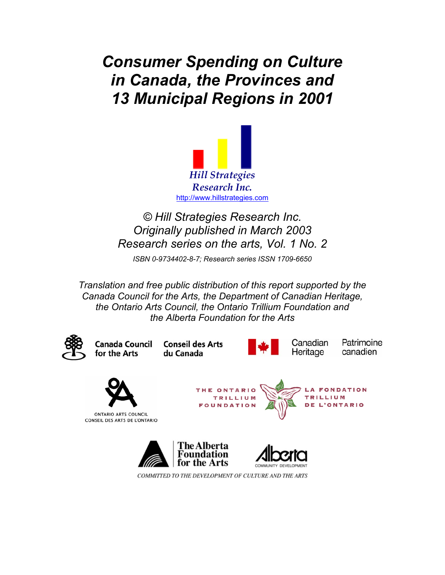*Consumer Spending on Culture in Canada, the Provinces and 13 Municipal Regions in 2001* 



*© Hill Strategies Research Inc. Originally published in March 2003 Research series on the arts, Vol. 1 No. 2* 

*ISBN 0-9734402-8-7; Research series ISSN 1709-6650* 

*Translation and free public distribution of this report supported by the Canada Council for the Arts, the Department of Canadian Heritage, the Ontario Arts Council, the Ontario Trillium Foundation and the Alberta Foundation for the Arts* 

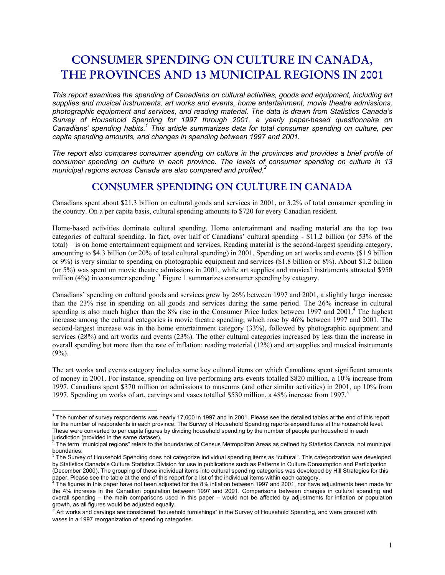# **CONSUMER SPENDING ON CULTURE IN CANADA, THE PROVINCES AND 13 MUNICIPAL REGIONS IN 2001**

*This report examines the spending of Canadians on cultural activities, goods and equipment, including art supplies and musical instruments, art works and events, home entertainment, movie theatre admissions, photographic equipment and services, and reading material. The data is drawn from Statistics Canada's Survey of Household Spending for 1997 through 2001, a yearly paper-based questionnaire on Canadians' spending habits.<sup>1</sup> This article summarizes data for total consumer spending on culture, per capita spending amounts, and changes in spending between 1997 and 2001.* 

*The report also compares consumer spending on culture in the provinces and provides a brief profile of consumer spending on culture in each province. The levels of consumer spending on culture in 13 municipal regions across Canada are also compared and profiled.<sup>2</sup>*

### **CONSUMER SPENDING ON CULTURE IN CANADA**

Canadians spent about \$21.3 billion on cultural goods and services in 2001, or 3.2% of total consumer spending in the country. On a per capita basis, cultural spending amounts to \$720 for every Canadian resident.

Home-based activities dominate cultural spending. Home entertainment and reading material are the top two categories of cultural spending. In fact, over half of Canadians' cultural spending - \$11.2 billion (or 53% of the total) – is on home entertainment equipment and services. Reading material is the second-largest spending category, amounting to \$4.3 billion (or 20% of total cultural spending) in 2001. Spending on art works and events (\$1.9 billion or 9%) is very similar to spending on photographic equipment and services (\$1.8 billion or 8%). About \$1.2 billion (or 5%) was spent on movie theatre admissions in 2001, while art supplies and musical instruments attracted \$950 million  $(4\%)$  in consumer spending.<sup>3</sup> Figure 1 summarizes consumer spending by category.

Canadians' spending on cultural goods and services grew by 26% between 1997 and 2001, a slightly larger increase than the 23% rise in spending on all goods and services during the same period. The 26% increase in cultural spending is also much higher than the 8% rise in the Consumer Price Index between 1997 and 2001.<sup>4</sup> The highest increase among the cultural categories is movie theatre spending, which rose by 46% between 1997 and 2001. The second-largest increase was in the home entertainment category (33%), followed by photographic equipment and services (28%) and art works and events (23%). The other cultural categories increased by less than the increase in overall spending but more than the rate of inflation: reading material (12%) and art supplies and musical instruments  $(9\%)$ .

The art works and events category includes some key cultural items on which Canadians spent significant amounts of money in 2001. For instance, spending on live performing arts events totalled \$820 million, a 10% increase from 1997. Canadians spent \$370 million on admissions to museums (and other similar activities) in 2001, up 10% from 1997. Spending on works of art, carvings and vases totalled \$530 million, a 48% increase from 1997.<sup>5</sup>

 $\overline{\phantom{a}}$ 

 $1$  The number of survey respondents was nearly 17,000 in 1997 and in 2001. Please see the detailed tables at the end of this report for the number of respondents in each province. The Survey of Household Spending reports expenditures at the household level. These were converted to per capita figures by dividing household spending by the number of people per household in each jurisdiction (provided in the same dataset). 2

The term "municipal regions" refers to the boundaries of Census Metropolitan Areas as defined by Statistics Canada, not municipal boundaries.

 $^3$  The Survey of Household Spending does not categorize individual spending items as "cultural". This categorization was developed by Statistics Canada's Culture Statistics Division for use in publications such as Patterns in Culture Consumption and Participation (December 2000). The grouping of these individual items into cultural spending categories was developed by Hill Strategies for this paper. Please see the table at the end of this report for a list of the individual items within each category.

The figures in this paper have not been adjusted for the 8% inflation between 1997 and 2001, nor have adjustments been made for the 4% increase in the Canadian population between 1997 and 2001. Comparisons between changes in cultural spending and overall spending – the main comparisons used in this paper – would not be affected by adjustments for inflation or population growth, as all figures would be adjusted equally.

<sup>5</sup> Art works and carvings are considered "household furnishings" in the Survey of Household Spending, and were grouped with vases in a 1997 reorganization of spending categories.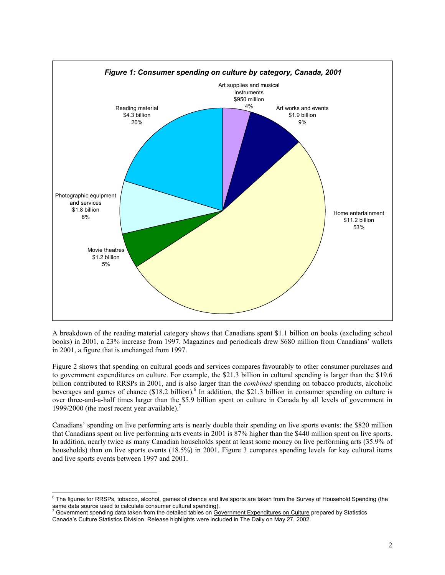

A breakdown of the reading material category shows that Canadians spent \$1.1 billion on books (excluding school books) in 2001, a 23% increase from 1997. Magazines and periodicals drew \$680 million from Canadians' wallets in 2001, a figure that is unchanged from 1997.

Figure 2 shows that spending on cultural goods and services compares favourably to other consumer purchases and to government expenditures on culture. For example, the \$21.3 billion in cultural spending is larger than the \$19.6 billion contributed to RRSPs in 2001, and is also larger than the *combined* spending on tobacco products, alcoholic beverages and games of chance (\$18.2 billion). <sup>6</sup> In addition, the \$21.3 billion in consumer spending on culture is over three-and-a-half times larger than the \$5.9 billion spent on culture in Canada by all levels of government in 1999/2000 (the most recent year available).<sup>7</sup>

Canadians' spending on live performing arts is nearly double their spending on live sports events: the \$820 million that Canadians spent on live performing arts events in 2001 is 87% higher than the \$440 million spent on live sports. In addition, nearly twice as many Canadian households spent at least some money on live performing arts (35.9% of households) than on live sports events (18.5%) in 2001. Figure 3 compares spending levels for key cultural items and live sports events between 1997 and 2001.

 6 The figures for RRSPs, tobacco, alcohol, games of chance and live sports are taken from the Survey of Household Spending (the

same data source used to calculate consumer cultural spending).<br><sup>7</sup> Government spending data taken from the detailed tables on <u>Government Expenditures on Culture</u> prepared by Statistics Canada's Culture Statistics Division. Release highlights were included in The Daily on May 27, 2002.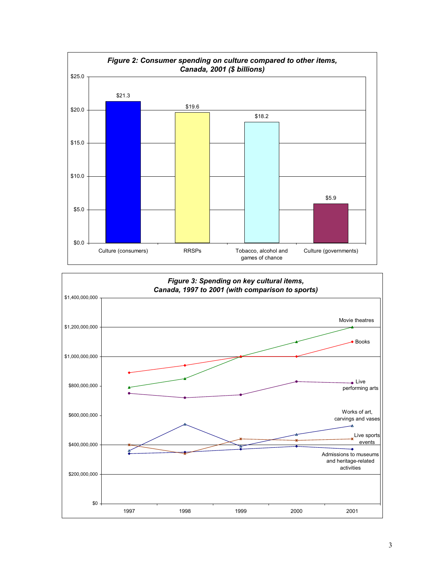

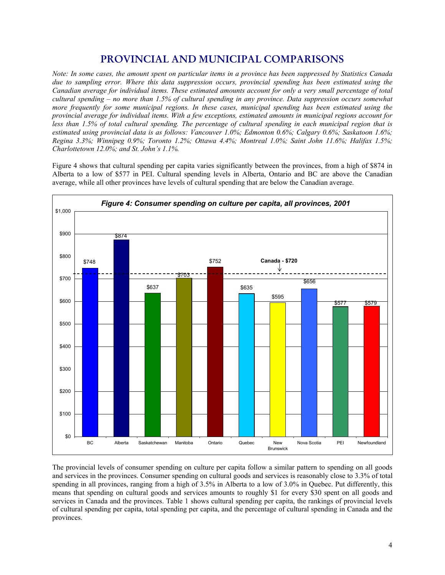### PROVINCIAL AND MUNICIPAL COMPARISONS

*Note: In some cases, the amount spent on particular items in a province has been suppressed by Statistics Canada due to sampling error. Where this data suppression occurs, provincial spending has been estimated using the Canadian average for individual items. These estimated amounts account for only a very small percentage of total cultural spending – no more than 1.5% of cultural spending in any province. Data suppression occurs somewhat more frequently for some municipal regions. In these cases, municipal spending has been estimated using the provincial average for individual items. With a few exceptions, estimated amounts in municipal regions account for*  less than 1.5% of total cultural spending. The percentage of cultural spending in each municipal region that is *estimated using provincial data is as follows: Vancouver 1.0%; Edmonton 0.6%; Calgary 0.6%; Saskatoon 1.6%; Regina 3.3%; Winnipeg 0.9%; Toronto 1.2%; Ottawa 4.4%; Montreal 1.0%; Saint John 11.6%; Halifax 1.5%; Charlottetown 12.0%; and St. John's 1.1%.* 

Figure 4 shows that cultural spending per capita varies significantly between the provinces, from a high of \$874 in Alberta to a low of \$577 in PEI. Cultural spending levels in Alberta, Ontario and BC are above the Canadian average, while all other provinces have levels of cultural spending that are below the Canadian average.



The provincial levels of consumer spending on culture per capita follow a similar pattern to spending on all goods and services in the provinces. Consumer spending on cultural goods and services is reasonably close to 3.3% of total spending in all provinces, ranging from a high of 3.5% in Alberta to a low of 3.0% in Quebec. Put differently, this means that spending on cultural goods and services amounts to roughly \$1 for every \$30 spent on all goods and services in Canada and the provinces. Table 1 shows cultural spending per capita, the rankings of provincial levels of cultural spending per capita, total spending per capita, and the percentage of cultural spending in Canada and the provinces.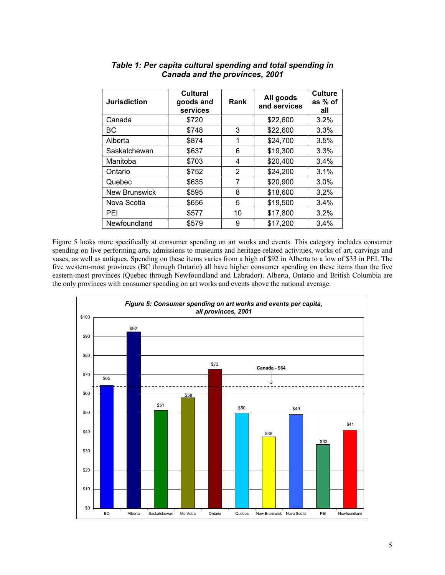| <b>Jurisdiction</b>  | <b>Cultural</b><br>goods and<br>services | Rank | All goods<br>and services | <b>Culture</b><br>as % of<br>all |
|----------------------|------------------------------------------|------|---------------------------|----------------------------------|
| Canada               | \$720                                    |      | \$22,600                  | 3.2%                             |
| ВC                   | \$748                                    | 3    | \$22,600                  | 3.3%                             |
| Alberta              | \$874                                    | 1    | \$24,700                  | 3.5%                             |
| Saskatchewan         | \$637                                    | 6    | \$19,300                  | 3.3%                             |
| Manitoba             | \$703                                    | 4    | \$20,400                  | 3.4%                             |
| Ontario              | \$752                                    | 2    | \$24,200                  | 3.1%                             |
| Quebec               | \$635                                    | 7    | \$20,900                  | 3.0%                             |
| <b>New Brunswick</b> | \$595                                    | 8    | \$18,600                  | 3.2%                             |
| Nova Scotia          | \$656                                    | 5    | \$19,500                  | 3.4%                             |
| PEI                  | \$577                                    | 10   | \$17,800                  | 3.2%                             |
| Newfoundland         | \$579                                    | 9    | \$17,200                  | 3.4%                             |

### *Table 1: Per capita cultural spending and total spending in Canada and the provinces, 2001*

Figure 5 looks more specifically at consumer spending on art works and events. This category includes consumer spending on live performing arts, admissions to museums and heritage-related activities, works of art, carvings and vases, as well as antiques. Spending on these items varies from a high of \$92 in Alberta to a low of \$33 in PEI. The five western-most provinces (BC through Ontario) all have higher consumer spending on these items than the five eastern-most provinces (Quebec through Newfoundland and Labrador). Alberta, Ontario and British Columbia are the only provinces with consumer spending on art works and events above the national average.

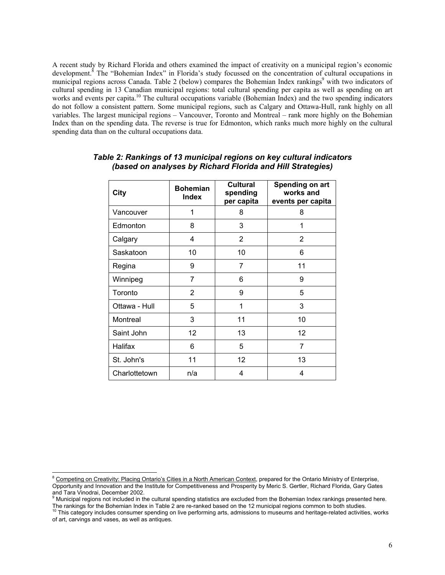A recent study by Richard Florida and others examined the impact of creativity on a municipal region's economic development.<sup>8</sup> The "Bohemian Index" in Florida's study focussed on the concentration of cultural occupations in municipal regions across Canada. Table 2 (below) compares the Bohemian Index rankings<sup>9</sup> with two indicators of cultural spending in 13 Canadian municipal regions: total cultural spending per capita as well as spending on art works and events per capita.<sup>10</sup> The cultural occupations variable (Bohemian Index) and the two spending indicators do not follow a consistent pattern. Some municipal regions, such as Calgary and Ottawa-Hull, rank highly on all variables. The largest municipal regions – Vancouver, Toronto and Montreal – rank more highly on the Bohemian Index than on the spending data. The reverse is true for Edmonton, which ranks much more highly on the cultural spending data than on the cultural occupations data.

| City          | <b>Bohemian</b><br><b>Index</b> | <b>Cultural</b><br>spending<br>per capita | Spending on art<br>works and<br>events per capita |
|---------------|---------------------------------|-------------------------------------------|---------------------------------------------------|
| Vancouver     | 1                               | 8                                         | 8                                                 |
| Edmonton      | 8                               | 3                                         | 1                                                 |
| Calgary       | 4                               | 2                                         | 2                                                 |
| Saskatoon     | 10                              | 10                                        | 6                                                 |
| Regina        | 9                               | $\overline{7}$                            | 11                                                |
| Winnipeg      | 7                               | 6                                         | 9                                                 |
| Toronto       | $\overline{2}$                  | 9                                         | 5                                                 |
| Ottawa - Hull | 5                               | 1                                         | 3                                                 |
| Montreal      | 3                               | 11                                        | 10                                                |
| Saint John    | $12 \overline{ }$               | 13                                        | 12                                                |
| Halifax       | 6                               | 5                                         | 7                                                 |
| St. John's    | 11                              | 12                                        | 13                                                |
| Charlottetown | n/a                             | 4                                         | 4                                                 |

### *Table 2: Rankings of 13 municipal regions on key cultural indicators (based on analyses by Richard Florida and Hill Strategies)*

external on Creativity: Placing Ontario's Cities in a North American Context, prepared for the Ontario Ministry of Enterprise,<br><sup>8</sup> Competing on Creativity: Placing Ontario's Cities in a North American Context, prepared for Opportunity and Innovation and the Institute for Competitiveness and Prosperity by Meric S. Gertler, Richard Florida, Gary Gates and Tara Vinodrai, December 2002.<br><sup>9</sup> Municipal regions not included in the cultural spending statistics are excluded from the Bohemian Index rankings presented here.

The rankings for the Bohemian Index in Table 2 are re-ranked based on the 12 municipal regions common to both studies.<br><sup>10</sup> This category includes consumer spending on live performing arts, admissions to museums and herita

of art, carvings and vases, as well as antiques.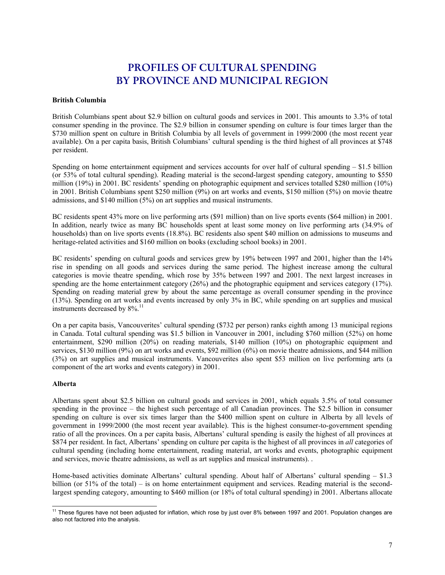## **PROFILES OF CULTURAL SPENDING BY PROVINCE AND MUNICIPAL REGION**

#### **British Columbia**

British Columbians spent about \$2.9 billion on cultural goods and services in 2001. This amounts to 3.3% of total consumer spending in the province. The \$2.9 billion in consumer spending on culture is four times larger than the \$730 million spent on culture in British Columbia by all levels of government in 1999/2000 (the most recent year available). On a per capita basis, British Columbians' cultural spending is the third highest of all provinces at \$748 per resident.

Spending on home entertainment equipment and services accounts for over half of cultural spending – \$1.5 billion (or 53% of total cultural spending). Reading material is the second-largest spending category, amounting to \$550 million (19%) in 2001. BC residents' spending on photographic equipment and services totalled \$280 million (10%) in 2001. British Columbians spent \$250 million (9%) on art works and events, \$150 million (5%) on movie theatre admissions, and \$140 million (5%) on art supplies and musical instruments.

BC residents spent 43% more on live performing arts (\$91 million) than on live sports events (\$64 million) in 2001. In addition, nearly twice as many BC households spent at least some money on live performing arts (34.9% of households) than on live sports events (18.8%). BC residents also spent \$40 million on admissions to museums and heritage-related activities and \$160 million on books (excluding school books) in 2001.

BC residents' spending on cultural goods and services grew by 19% between 1997 and 2001, higher than the 14% rise in spending on all goods and services during the same period. The highest increase among the cultural categories is movie theatre spending, which rose by 35% between 1997 and 2001. The next largest increases in spending are the home entertainment category (26%) and the photographic equipment and services category (17%). Spending on reading material grew by about the same percentage as overall consumer spending in the province (13%). Spending on art works and events increased by only 3% in BC, while spending on art supplies and musical instruments decreased by  $8\%$ .<sup>11</sup>

On a per capita basis, Vancouverites' cultural spending (\$732 per person) ranks eighth among 13 municipal regions in Canada. Total cultural spending was \$1.5 billion in Vancouver in 2001, including \$760 million (52%) on home entertainment, \$290 million (20%) on reading materials, \$140 million (10%) on photographic equipment and services, \$130 million (9%) on art works and events, \$92 million (6%) on movie theatre admissions, and \$44 million (3%) on art supplies and musical instruments. Vancouverites also spent \$53 million on live performing arts (a component of the art works and events category) in 2001.

#### **Alberta**

Albertans spent about \$2.5 billion on cultural goods and services in 2001, which equals 3.5% of total consumer spending in the province – the highest such percentage of all Canadian provinces. The \$2.5 billion in consumer spending on culture is over six times larger than the \$400 million spent on culture in Alberta by all levels of government in 1999/2000 (the most recent year available). This is the highest consumer-to-government spending ratio of all the provinces. On a per capita basis, Albertans' cultural spending is easily the highest of all provinces at \$874 per resident. In fact, Albertans' spending on culture per capita is the highest of all provinces in *all* categories of cultural spending (including home entertainment, reading material, art works and events, photographic equipment and services, movie theatre admissions, as well as art supplies and musical instruments). .

Home-based activities dominate Albertans' cultural spending. About half of Albertans' cultural spending – \$1.3 billion (or 51% of the total) – is on home entertainment equipment and services. Reading material is the secondlargest spending category, amounting to \$460 million (or 18% of total cultural spending) in 2001. Albertans allocate

<sup>-</sup><sup>11</sup> These figures have not been adjusted for inflation, which rose by just over 8% between 1997 and 2001. Population changes are also not factored into the analysis.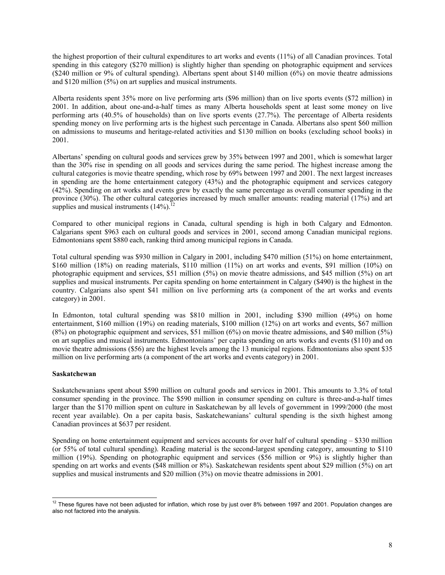the highest proportion of their cultural expenditures to art works and events (11%) of all Canadian provinces. Total spending in this category (\$270 million) is slightly higher than spending on photographic equipment and services (\$240 million or 9% of cultural spending). Albertans spent about \$140 million (6%) on movie theatre admissions and \$120 million (5%) on art supplies and musical instruments.

Alberta residents spent 35% more on live performing arts (\$96 million) than on live sports events (\$72 million) in 2001. In addition, about one-and-a-half times as many Alberta households spent at least some money on live performing arts (40.5% of households) than on live sports events (27.7%). The percentage of Alberta residents spending money on live performing arts is the highest such percentage in Canada. Albertans also spent \$60 million on admissions to museums and heritage-related activities and \$130 million on books (excluding school books) in 2001.

Albertans' spending on cultural goods and services grew by 35% between 1997 and 2001, which is somewhat larger than the 30% rise in spending on all goods and services during the same period. The highest increase among the cultural categories is movie theatre spending, which rose by 69% between 1997 and 2001. The next largest increases in spending are the home entertainment category (43%) and the photographic equipment and services category (42%). Spending on art works and events grew by exactly the same percentage as overall consumer spending in the province (30%). The other cultural categories increased by much smaller amounts: reading material (17%) and art supplies and musical instruments  $(14\%)$ .<sup>12</sup>

Compared to other municipal regions in Canada, cultural spending is high in both Calgary and Edmonton. Calgarians spent \$963 each on cultural goods and services in 2001, second among Canadian municipal regions. Edmontonians spent \$880 each, ranking third among municipal regions in Canada.

Total cultural spending was \$930 million in Calgary in 2001, including \$470 million (51%) on home entertainment, \$160 million (18%) on reading materials, \$110 million (11%) on art works and events, \$91 million (10%) on photographic equipment and services, \$51 million (5%) on movie theatre admissions, and \$45 million (5%) on art supplies and musical instruments. Per capita spending on home entertainment in Calgary (\$490) is the highest in the country. Calgarians also spent \$41 million on live performing arts (a component of the art works and events category) in 2001.

In Edmonton, total cultural spending was \$810 million in 2001, including \$390 million (49%) on home entertainment, \$160 million (19%) on reading materials, \$100 million (12%) on art works and events, \$67 million (8%) on photographic equipment and services, \$51 million (6%) on movie theatre admissions, and \$40 million (5%) on art supplies and musical instruments. Edmontonians' per capita spending on arts works and events (\$110) and on movie theatre admissions (\$56) are the highest levels among the 13 municipal regions. Edmontonians also spent \$35 million on live performing arts (a component of the art works and events category) in 2001.

#### **Saskatchewan**

Saskatchewanians spent about \$590 million on cultural goods and services in 2001. This amounts to 3.3% of total consumer spending in the province. The \$590 million in consumer spending on culture is three-and-a-half times larger than the \$170 million spent on culture in Saskatchewan by all levels of government in 1999/2000 (the most recent year available). On a per capita basis, Saskatchewanians' cultural spending is the sixth highest among Canadian provinces at \$637 per resident.

Spending on home entertainment equipment and services accounts for over half of cultural spending – \$330 million (or 55% of total cultural spending). Reading material is the second-largest spending category, amounting to \$110 million (19%). Spending on photographic equipment and services (\$56 million or 9%) is slightly higher than spending on art works and events (\$48 million or 8%). Saskatchewan residents spent about \$29 million (5%) on art supplies and musical instruments and \$20 million (3%) on movie theatre admissions in 2001.

<sup>-</sup> $12$  These figures have not been adjusted for inflation, which rose by just over 8% between 1997 and 2001. Population changes are also not factored into the analysis.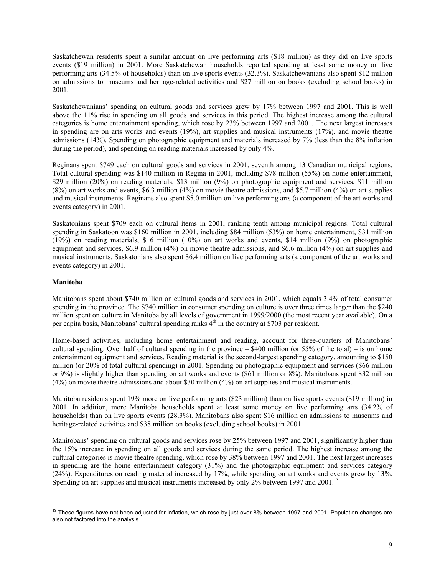Saskatchewan residents spent a similar amount on live performing arts (\$18 million) as they did on live sports events (\$19 million) in 2001. More Saskatchewan households reported spending at least some money on live performing arts (34.5% of households) than on live sports events (32.3%). Saskatchewanians also spent \$12 million on admissions to museums and heritage-related activities and \$27 million on books (excluding school books) in 2001.

Saskatchewanians' spending on cultural goods and services grew by 17% between 1997 and 2001. This is well above the 11% rise in spending on all goods and services in this period. The highest increase among the cultural categories is home entertainment spending, which rose by 23% between 1997 and 2001. The next largest increases in spending are on arts works and events (19%), art supplies and musical instruments (17%), and movie theatre admissions (14%). Spending on photographic equipment and materials increased by 7% (less than the 8% inflation during the period), and spending on reading materials increased by only 4%.

Reginans spent \$749 each on cultural goods and services in 2001, seventh among 13 Canadian municipal regions. Total cultural spending was \$140 million in Regina in 2001, including \$78 million (55%) on home entertainment, \$29 million (20%) on reading materials, \$13 million (9%) on photographic equipment and services, \$11 million (8%) on art works and events, \$6.3 million (4%) on movie theatre admissions, and \$5.7 million (4%) on art supplies and musical instruments. Reginans also spent \$5.0 million on live performing arts (a component of the art works and events category) in 2001.

Saskatonians spent \$709 each on cultural items in 2001, ranking tenth among municipal regions. Total cultural spending in Saskatoon was \$160 million in 2001, including \$84 million (53%) on home entertainment, \$31 million (19%) on reading materials, \$16 million (10%) on art works and events, \$14 million (9%) on photographic equipment and services, \$6.9 million (4%) on movie theatre admissions, and \$6.6 million (4%) on art supplies and musical instruments. Saskatonians also spent \$6.4 million on live performing arts (a component of the art works and events category) in 2001.

#### **Manitoba**

Manitobans spent about \$740 million on cultural goods and services in 2001, which equals 3.4% of total consumer spending in the province. The \$740 million in consumer spending on culture is over three times larger than the \$240 million spent on culture in Manitoba by all levels of government in 1999/2000 (the most recent year available). On a per capita basis, Manitobans' cultural spending ranks  $4<sup>th</sup>$  in the country at \$703 per resident.

Home-based activities, including home entertainment and reading, account for three-quarters of Manitobans' cultural spending. Over half of cultural spending in the province  $-$  \$400 million (or 55% of the total) – is on home entertainment equipment and services. Reading material is the second-largest spending category, amounting to \$150 million (or 20% of total cultural spending) in 2001. Spending on photographic equipment and services (\$66 million or 9%) is slightly higher than spending on art works and events (\$61 million or 8%). Manitobans spent \$32 million (4%) on movie theatre admissions and about \$30 million (4%) on art supplies and musical instruments.

Manitoba residents spent 19% more on live performing arts (\$23 million) than on live sports events (\$19 million) in 2001. In addition, more Manitoba households spent at least some money on live performing arts (34.2% of households) than on live sports events (28.3%). Manitobans also spent \$16 million on admissions to museums and heritage-related activities and \$38 million on books (excluding school books) in 2001.

Manitobans' spending on cultural goods and services rose by 25% between 1997 and 2001, significantly higher than the 15% increase in spending on all goods and services during the same period. The highest increase among the cultural categories is movie theatre spending, which rose by 38% between 1997 and 2001. The next largest increases in spending are the home entertainment category (31%) and the photographic equipment and services category (24%). Expenditures on reading material increased by 17%, while spending on art works and events grew by 13%. Spending on art supplies and musical instruments increased by only  $2\%$  between 1997 and 2001.<sup>13</sup>

<sup>-</sup> $13$  These figures have not been adjusted for inflation, which rose by just over 8% between 1997 and 2001. Population changes are also not factored into the analysis.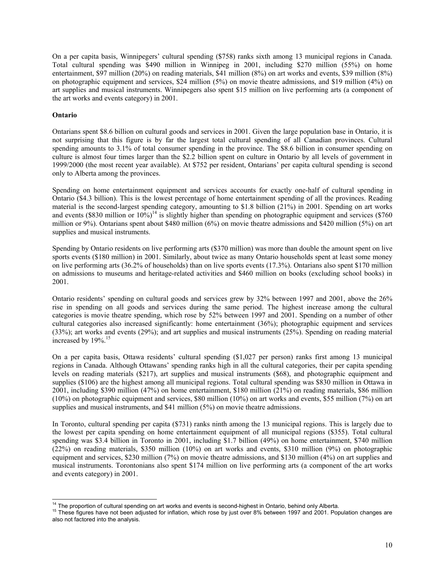On a per capita basis, Winnipegers' cultural spending (\$758) ranks sixth among 13 municipal regions in Canada. Total cultural spending was \$490 million in Winnipeg in 2001, including \$270 million (55%) on home entertainment, \$97 million (20%) on reading materials, \$41 million (8%) on art works and events, \$39 million (8%) on photographic equipment and services, \$24 million (5%) on movie theatre admissions, and \$19 million (4%) on art supplies and musical instruments. Winnipegers also spent \$15 million on live performing arts (a component of the art works and events category) in 2001.

#### **Ontario**

Ontarians spent \$8.6 billion on cultural goods and services in 2001. Given the large population base in Ontario, it is not surprising that this figure is by far the largest total cultural spending of all Canadian provinces. Cultural spending amounts to 3.1% of total consumer spending in the province. The \$8.6 billion in consumer spending on culture is almost four times larger than the \$2.2 billion spent on culture in Ontario by all levels of government in 1999/2000 (the most recent year available). At \$752 per resident, Ontarians' per capita cultural spending is second only to Alberta among the provinces.

Spending on home entertainment equipment and services accounts for exactly one-half of cultural spending in Ontario (\$4.3 billion). This is the lowest percentage of home entertainment spending of all the provinces. Reading material is the second-largest spending category, amounting to \$1.8 billion (21%) in 2001. Spending on art works and events (\$830 million or  $10\%$ )<sup>14</sup> is slightly higher than spending on photographic equipment and services (\$760 million or 9%). Ontarians spent about \$480 million (6%) on movie theatre admissions and \$420 million (5%) on art supplies and musical instruments.

Spending by Ontario residents on live performing arts (\$370 million) was more than double the amount spent on live sports events (\$180 million) in 2001. Similarly, about twice as many Ontario households spent at least some money on live performing arts (36.2% of households) than on live sports events (17.3%). Ontarians also spent \$170 million on admissions to museums and heritage-related activities and \$460 million on books (excluding school books) in 2001.

Ontario residents' spending on cultural goods and services grew by 32% between 1997 and 2001, above the 26% rise in spending on all goods and services during the same period. The highest increase among the cultural categories is movie theatre spending, which rose by 52% between 1997 and 2001. Spending on a number of other cultural categories also increased significantly: home entertainment (36%); photographic equipment and services (33%); art works and events (29%); and art supplies and musical instruments (25%). Spending on reading material increased by 19%.<sup>15</sup>

On a per capita basis, Ottawa residents' cultural spending (\$1,027 per person) ranks first among 13 municipal regions in Canada. Although Ottawans' spending ranks high in all the cultural categories, their per capita spending levels on reading materials (\$217), art supplies and musical instruments (\$68), and photographic equipment and supplies (\$106) are the highest among all municipal regions. Total cultural spending was \$830 million in Ottawa in 2001, including \$390 million (47%) on home entertainment, \$180 million (21%) on reading materials, \$86 million (10%) on photographic equipment and services, \$80 million (10%) on art works and events, \$55 million (7%) on art supplies and musical instruments, and \$41 million (5%) on movie theatre admissions.

In Toronto, cultural spending per capita (\$731) ranks ninth among the 13 municipal regions. This is largely due to the lowest per capita spending on home entertainment equipment of all municipal regions (\$355). Total cultural spending was \$3.4 billion in Toronto in 2001, including \$1.7 billion (49%) on home entertainment, \$740 million (22%) on reading materials, \$350 million (10%) on art works and events, \$310 million (9%) on photographic equipment and services, \$230 million (7%) on movie theatre admissions, and \$130 million (4%) on art supplies and musical instruments. Torontonians also spent \$174 million on live performing arts (a component of the art works and events category) in 2001.

<sup>&</sup>lt;sup>14</sup> The proportion of cultural spending on art works and events is second-highest in Ontario, behind only Alberta.

<sup>&</sup>lt;sup>15</sup> These figures have not been adjusted for inflation, which rose by just over 8% between 1997 and 2001. Population changes are also not factored into the analysis.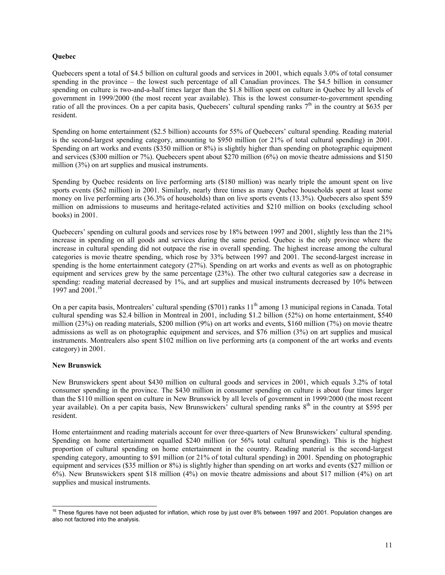#### **Quebec**

Quebecers spent a total of \$4.5 billion on cultural goods and services in 2001, which equals 3.0% of total consumer spending in the province – the lowest such percentage of all Canadian provinces. The \$4.5 billion in consumer spending on culture is two-and-a-half times larger than the \$1.8 billion spent on culture in Quebec by all levels of government in 1999/2000 (the most recent year available). This is the lowest consumer-to-government spending ratio of all the provinces. On a per capita basis, Quebecers' cultural spending ranks  $7<sup>th</sup>$  in the country at \$635 per resident.

Spending on home entertainment (\$2.5 billion) accounts for 55% of Quebecers' cultural spending. Reading material is the second-largest spending category, amounting to \$950 million (or 21% of total cultural spending) in 2001. Spending on art works and events (\$350 million or 8%) is slightly higher than spending on photographic equipment and services (\$300 million or 7%). Quebecers spent about \$270 million (6%) on movie theatre admissions and \$150 million (3%) on art supplies and musical instruments.

Spending by Quebec residents on live performing arts (\$180 million) was nearly triple the amount spent on live sports events (\$62 million) in 2001. Similarly, nearly three times as many Quebec households spent at least some money on live performing arts (36.3% of households) than on live sports events (13.3%). Quebecers also spent \$59 million on admissions to museums and heritage-related activities and \$210 million on books (excluding school books) in 2001.

Quebecers' spending on cultural goods and services rose by 18% between 1997 and 2001, slightly less than the 21% increase in spending on all goods and services during the same period. Quebec is the only province where the increase in cultural spending did not outpace the rise in overall spending. The highest increase among the cultural categories is movie theatre spending, which rose by 33% between 1997 and 2001. The second-largest increase in spending is the home entertainment category (27%). Spending on art works and events as well as on photographic equipment and services grew by the same percentage (23%). The other two cultural categories saw a decrease in spending: reading material decreased by 1%, and art supplies and musical instruments decreased by 10% between 1997 and 2001.<sup>16</sup>

On a per capita basis, Montrealers' cultural spending  $(\$701)$  ranks  $11<sup>th</sup>$  among 13 municipal regions in Canada. Total cultural spending was \$2.4 billion in Montreal in 2001, including \$1.2 billion (52%) on home entertainment, \$540 million (23%) on reading materials, \$200 million (9%) on art works and events, \$160 million (7%) on movie theatre admissions as well as on photographic equipment and services, and \$76 million (3%) on art supplies and musical instruments. Montrealers also spent \$102 million on live performing arts (a component of the art works and events category) in 2001.

#### **New Brunswick**

New Brunswickers spent about \$430 million on cultural goods and services in 2001, which equals 3.2% of total consumer spending in the province. The \$430 million in consumer spending on culture is about four times larger than the \$110 million spent on culture in New Brunswick by all levels of government in 1999/2000 (the most recent year available). On a per capita basis, New Brunswickers' cultural spending ranks 8<sup>th</sup> in the country at \$595 per resident.

Home entertainment and reading materials account for over three-quarters of New Brunswickers' cultural spending. Spending on home entertainment equalled \$240 million (or 56% total cultural spending). This is the highest proportion of cultural spending on home entertainment in the country. Reading material is the second-largest spending category, amounting to \$91 million (or 21% of total cultural spending) in 2001. Spending on photographic equipment and services (\$35 million or 8%) is slightly higher than spending on art works and events (\$27 million or 6%). New Brunswickers spent \$18 million (4%) on movie theatre admissions and about \$17 million (4%) on art supplies and musical instruments.

 $\overline{\phantom{a}}$  $16$  These figures have not been adjusted for inflation, which rose by just over 8% between 1997 and 2001. Population changes are also not factored into the analysis.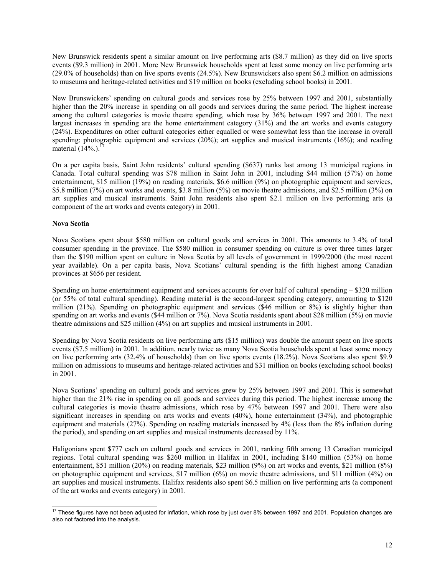New Brunswick residents spent a similar amount on live performing arts (\$8.7 million) as they did on live sports events (\$9.3 million) in 2001. More New Brunswick households spent at least some money on live performing arts (29.0% of households) than on live sports events (24.5%). New Brunswickers also spent \$6.2 million on admissions to museums and heritage-related activities and \$19 million on books (excluding school books) in 2001.

New Brunswickers' spending on cultural goods and services rose by 25% between 1997 and 2001, substantially higher than the 20% increase in spending on all goods and services during the same period. The highest increase among the cultural categories is movie theatre spending, which rose by 36% between 1997 and 2001. The next largest increases in spending are the home entertainment category (31%) and the art works and events category (24%). Expenditures on other cultural categories either equalled or were somewhat less than the increase in overall spending: photographic equipment and services (20%); art supplies and musical instruments (16%); and reading material  $(14\%).$ <sup>1</sup>

On a per capita basis, Saint John residents' cultural spending (\$637) ranks last among 13 municipal regions in Canada. Total cultural spending was \$78 million in Saint John in 2001, including \$44 million (57%) on home entertainment, \$15 million (19%) on reading materials, \$6.6 million (9%) on photographic equipment and services, \$5.8 million (7%) on art works and events, \$3.8 million (5%) on movie theatre admissions, and \$2.5 million (3%) on art supplies and musical instruments. Saint John residents also spent \$2.1 million on live performing arts (a component of the art works and events category) in 2001.

#### **Nova Scotia**

Nova Scotians spent about \$580 million on cultural goods and services in 2001. This amounts to 3.4% of total consumer spending in the province. The \$580 million in consumer spending on culture is over three times larger than the \$190 million spent on culture in Nova Scotia by all levels of government in 1999/2000 (the most recent year available). On a per capita basis, Nova Scotians' cultural spending is the fifth highest among Canadian provinces at \$656 per resident.

Spending on home entertainment equipment and services accounts for over half of cultural spending – \$320 million (or 55% of total cultural spending). Reading material is the second-largest spending category, amounting to \$120 million (21%). Spending on photographic equipment and services (\$46 million or 8%) is slightly higher than spending on art works and events (\$44 million or 7%). Nova Scotia residents spent about \$28 million (5%) on movie theatre admissions and \$25 million (4%) on art supplies and musical instruments in 2001.

Spending by Nova Scotia residents on live performing arts (\$15 million) was double the amount spent on live sports events (\$7.5 million) in 2001. In addition, nearly twice as many Nova Scotia households spent at least some money on live performing arts (32.4% of households) than on live sports events (18.2%). Nova Scotians also spent \$9.9 million on admissions to museums and heritage-related activities and \$31 million on books (excluding school books) in 2001.

Nova Scotians' spending on cultural goods and services grew by 25% between 1997 and 2001. This is somewhat higher than the 21% rise in spending on all goods and services during this period. The highest increase among the cultural categories is movie theatre admissions, which rose by 47% between 1997 and 2001. There were also significant increases in spending on arts works and events (40%), home entertainment (34%), and photographic equipment and materials (27%). Spending on reading materials increased by 4% (less than the 8% inflation during the period), and spending on art supplies and musical instruments decreased by 11%.

Haligonians spent \$777 each on cultural goods and services in 2001, ranking fifth among 13 Canadian municipal regions. Total cultural spending was \$260 million in Halifax in 2001, including \$140 million (53%) on home entertainment, \$51 million (20%) on reading materials, \$23 million (9%) on art works and events, \$21 million (8%) on photographic equipment and services, \$17 million (6%) on movie theatre admissions, and \$11 million (4%) on art supplies and musical instruments. Halifax residents also spent \$6.5 million on live performing arts (a component of the art works and events category) in 2001.

<sup>-</sup><sup>17</sup> These figures have not been adjusted for inflation, which rose by just over 8% between 1997 and 2001. Population changes are also not factored into the analysis.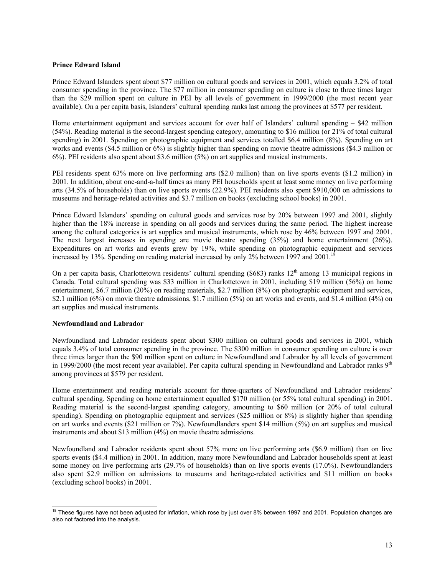#### **Prince Edward Island**

Prince Edward Islanders spent about \$77 million on cultural goods and services in 2001, which equals 3.2% of total consumer spending in the province. The \$77 million in consumer spending on culture is close to three times larger than the \$29 million spent on culture in PEI by all levels of government in 1999/2000 (the most recent year available). On a per capita basis, Islanders' cultural spending ranks last among the provinces at \$577 per resident.

Home entertainment equipment and services account for over half of Islanders' cultural spending – \$42 million (54%). Reading material is the second-largest spending category, amounting to \$16 million (or 21% of total cultural spending) in 2001. Spending on photographic equipment and services totalled \$6.4 million (8%). Spending on art works and events (\$4.5 million or 6%) is slightly higher than spending on movie theatre admissions (\$4.3 million or 6%). PEI residents also spent about \$3.6 million (5%) on art supplies and musical instruments.

PEI residents spent 63% more on live performing arts (\$2.0 million) than on live sports events (\$1.2 million) in 2001. In addition, about one-and-a-half times as many PEI households spent at least some money on live performing arts (34.5% of households) than on live sports events (22.9%). PEI residents also spent \$910,000 on admissions to museums and heritage-related activities and \$3.7 million on books (excluding school books) in 2001.

Prince Edward Islanders' spending on cultural goods and services rose by 20% between 1997 and 2001, slightly higher than the 18% increase in spending on all goods and services during the same period. The highest increase among the cultural categories is art supplies and musical instruments, which rose by 46% between 1997 and 2001. The next largest increases in spending are movie theatre spending (35%) and home entertainment (26%). Expenditures on art works and events grew by 19%, while spending on photographic equipment and services increased by 13%. Spending on reading material increased by only 2% between 1997 and 2001.<sup>18</sup>

On a per capita basis, Charlottetown residents' cultural spending (\$683) ranks  $12<sup>th</sup>$  among 13 municipal regions in Canada. Total cultural spending was \$33 million in Charlottetown in 2001, including \$19 million (56%) on home entertainment, \$6.7 million (20%) on reading materials, \$2.7 million (8%) on photographic equipment and services, \$2.1 million (6%) on movie theatre admissions, \$1.7 million (5%) on art works and events, and \$1.4 million (4%) on art supplies and musical instruments.

#### **Newfoundland and Labrador**

Newfoundland and Labrador residents spent about \$300 million on cultural goods and services in 2001, which equals 3.4% of total consumer spending in the province. The \$300 million in consumer spending on culture is over three times larger than the \$90 million spent on culture in Newfoundland and Labrador by all levels of government in 1999/2000 (the most recent year available). Per capita cultural spending in Newfoundland and Labrador ranks  $9<sup>th</sup>$ among provinces at \$579 per resident.

Home entertainment and reading materials account for three-quarters of Newfoundland and Labrador residents' cultural spending. Spending on home entertainment equalled \$170 million (or 55% total cultural spending) in 2001. Reading material is the second-largest spending category, amounting to \$60 million (or 20% of total cultural spending). Spending on photographic equipment and services (\$25 million or 8%) is slightly higher than spending on art works and events (\$21 million or 7%). Newfoundlanders spent \$14 million (5%) on art supplies and musical instruments and about \$13 million (4%) on movie theatre admissions.

Newfoundland and Labrador residents spent about 57% more on live performing arts (\$6.9 million) than on live sports events (\$4.4 million) in 2001. In addition, many more Newfoundland and Labrador households spent at least some money on live performing arts (29.7% of households) than on live sports events (17.0%). Newfoundlanders also spent \$2.9 million on admissions to museums and heritage-related activities and \$11 million on books (excluding school books) in 2001.

<sup>-</sup> $18$  These figures have not been adjusted for inflation, which rose by just over 8% between 1997 and 2001. Population changes are also not factored into the analysis.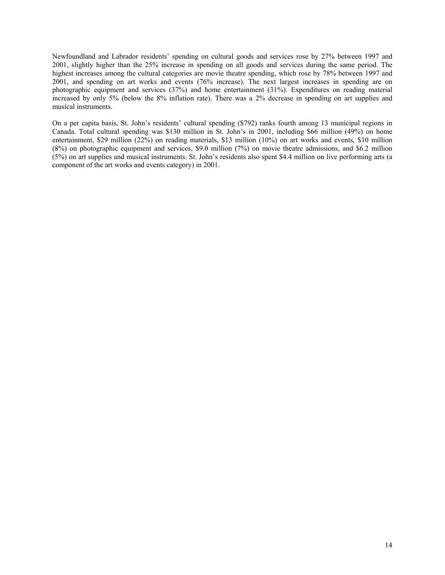Newfoundland and Labrador residents' spending on cultural goods and services rose by 27% between 1997 and 2001, slightly higher than the 25% increase in spending on all goods and services during the same period. The highest increases among the cultural categories are movie theatre spending, which rose by 78% between 1997 and 2001, and spending on art works and events (76% increase). The next largest increases in spending are on photographic equipment and services (37%) and home entertainment (31%). Expenditures on reading material increased by only 5% (below the 8% inflation rate). There was a 2% decrease in spending on art supplies and musical instruments.

On a per capita basis, St. John's residents' cultural spending (\$792) ranks fourth among 13 municipal regions in Canada. Total cultural spending was \$130 million in St. John's in 2001, including \$66 million (49%) on home entertainment, \$29 million (22%) on reading materials, \$13 million (10%) on art works and events, \$10 million (8%) on photographic equipment and services, \$9.0 million (7%) on movie theatre admissions, and \$6.2 million (5%) on art supplies and musical instruments. St. John's residents also spent \$4.4 million on live performing arts (a component of the art works and events category) in 2001.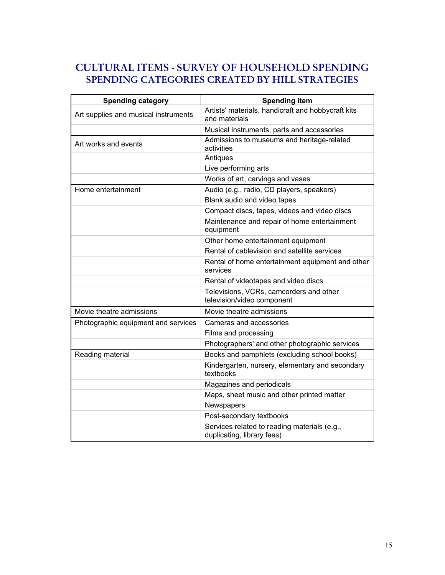## **CULTURAL ITEMS - SURVEY OF HOUSEHOLD SPENDING SPENDING CATEGORIES CREATED BY HILL STRATEGIES**

| Spending category                    | <b>Spending item</b>                                                       |
|--------------------------------------|----------------------------------------------------------------------------|
| Art supplies and musical instruments | Artists' materials, handicraft and hobbycraft kits<br>and materials        |
|                                      | Musical instruments, parts and accessories                                 |
| Art works and events                 | Admissions to museums and heritage-related<br>activities                   |
|                                      | Antiques                                                                   |
|                                      | Live performing arts                                                       |
|                                      | Works of art, carvings and vases                                           |
| Home entertainment                   | Audio (e.g., radio, CD players, speakers)                                  |
|                                      | Blank audio and video tapes                                                |
|                                      | Compact discs, tapes, videos and video discs                               |
|                                      | Maintenance and repair of home entertainment<br>equipment                  |
|                                      | Other home entertainment equipment                                         |
|                                      | Rental of cablevision and satellite services                               |
|                                      | Rental of home entertainment equipment and other<br>services               |
|                                      | Rental of videotapes and video discs                                       |
|                                      | Televisions, VCRs, camcorders and other<br>television/video component      |
| Movie theatre admissions             | Movie theatre admissions                                                   |
| Photographic equipment and services  | Cameras and accessories                                                    |
|                                      | Films and processing                                                       |
|                                      | Photographers' and other photographic services                             |
| Reading material                     | Books and pamphlets (excluding school books)                               |
|                                      | Kindergarten, nursery, elementary and secondary<br>textbooks               |
|                                      | Magazines and periodicals                                                  |
|                                      | Maps, sheet music and other printed matter                                 |
|                                      | Newspapers                                                                 |
|                                      | Post-secondary textbooks                                                   |
|                                      | Services related to reading materials (e.g.,<br>duplicating, library fees) |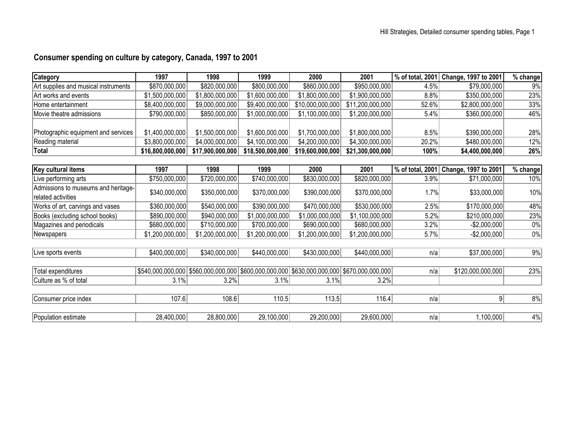## **Consumer spending on culture by category, Canada, 1997 to 2001**

| <b>Category</b>                      | 1997             | 1998             | 1999                                                                                            | 2000             | 2001             | % of total, 2001 | Change, 1997 to 2001 | % change   |
|--------------------------------------|------------------|------------------|-------------------------------------------------------------------------------------------------|------------------|------------------|------------------|----------------------|------------|
| Art supplies and musical instruments | \$870,000,000    | \$820,000,000    | \$800,000,000                                                                                   | \$860,000,000    | \$950,000,000    | 4.5%             | \$79,000,000         | 9%         |
| Art works and events                 | \$1,500,000,000  | \$1,800,000,000  | \$1,600,000,000                                                                                 | \$1,800,000,000  | \$1,900,000,000  | 8.8%             | \$350,000,000        | 23%        |
| Home entertainment                   | \$8,400,000,000  | \$9,000,000,000  | \$9,400,000,000                                                                                 | \$10,000,000,000 | \$11,200,000,000 | 52.6%            | \$2,800,000,000      | 33%        |
| Movie theatre admissions             | \$790,000,000    | \$850,000,000    | \$1,000,000,000                                                                                 | \$1,100,000,000  | \$1,200,000,000  | 5.4%             | \$360,000,000        | 46%        |
|                                      |                  |                  |                                                                                                 |                  |                  |                  |                      |            |
| Photographic equipment and services  | \$1,400,000,000  | \$1,500,000,000  | \$1,600,000,000                                                                                 | \$1,700,000,000  | \$1,800,000,000  | 8.5%             | \$390,000,000        | 28%        |
| Reading material                     | \$3,800,000,000  | \$4,000,000,000  | \$4,100,000,000                                                                                 | \$4,200,000,000  | \$4,300,000,000  | 20.2%            | \$480,000,000        | 12%        |
| <b>Total</b>                         | \$16,800,000,000 | \$17,900,000,000 | \$18,500,000,000                                                                                | \$19,600,000,000 | \$21,300,000,000 | 100%             | \$4,400,000,000      | 26%        |
|                                      |                  |                  |                                                                                                 |                  |                  |                  |                      |            |
| Key cultural items                   | 1997             | 1998             | 1999                                                                                            | 2000             | 2001             | % of total, 2001 | Change, 1997 to 2001 | $%$ change |
| Live performing arts                 | \$750,000,000    | \$720,000,000    | \$740,000,000                                                                                   | \$830,000,000    | \$820,000,000    | 3.9%             | \$71,000,000         | 10%        |
| Admissions to museums and heritage-  | \$340,000,000    | \$350,000,000    | \$370,000,000                                                                                   | \$390,000,000    | \$370,000,000    | 1.7%             | \$33,000,000         | 10%        |
| related activities                   |                  |                  |                                                                                                 |                  |                  |                  |                      |            |
| Works of art, carvings and vases     | \$360,000,000    | \$540,000,000    | \$390,000,000                                                                                   | \$470,000,000    | \$530,000,000    | 2.5%             | \$170,000,000        | 48%        |
| Books (excluding school books)       | \$890,000,000    | \$940,000,000    | \$1,000,000,000                                                                                 | \$1,000,000,000  | \$1,100,000,000  | 5.2%             | \$210,000,000        | 23%        |
| Magazines and periodicals            | \$680,000,000    | \$710,000,000    | \$700,000,000                                                                                   | \$690,000,000    | \$680,000,000    | 3.2%             | $-$2,000,000$        | $0\%$      |
| Newspapers                           | \$1,200,000,000  | \$1,200,000,000  | \$1,200,000,000                                                                                 | \$1,200,000,000  | \$1,200,000,000  | 5.7%             | $-$ \$2,000,000      | $0\%$      |
|                                      |                  |                  |                                                                                                 |                  |                  |                  |                      |            |
| Live sports events                   | \$400,000,000    | \$340,000,000    | \$440,000,000                                                                                   | \$430,000,000    | \$440,000,000    | n/a              | \$37,000,000         | $9\%$      |
|                                      |                  |                  |                                                                                                 |                  |                  |                  |                      |            |
| Total expenditures                   |                  |                  | \$540,000,000,000 \$560,000,000,000 \$600,000,000,000 \$630,000,000,000 \$670,000,000 \$600,000 |                  |                  | n/a              | \$120,000,000,000    | 23%        |
| Culture as % of total                | 3.1%             | 3.2%             | 3.1%                                                                                            | 3.1%             | 3.2%             |                  |                      |            |
|                                      |                  |                  |                                                                                                 |                  |                  |                  |                      |            |
| Consumer price index                 | 107.6            | 108.6            | 110.5                                                                                           | 113.5            | 116.4            | n/a              | 9                    | 8%         |
|                                      |                  |                  |                                                                                                 |                  |                  |                  |                      |            |
| Population estimate                  | 28,400,000       | 28,800,000       | 29,100,000                                                                                      | 29,200,000       | 29,600,000       | n/a              | 1,100,000            | $4\%$      |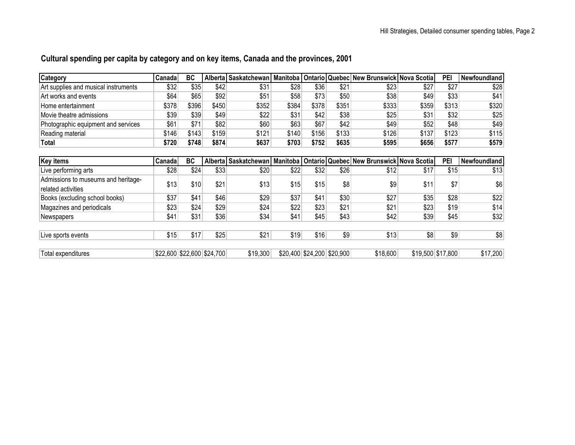| Cultural spending per capita by category and on key items, Canada and the provinces, 2001 |  |  |
|-------------------------------------------------------------------------------------------|--|--|
|                                                                                           |  |  |

| <b>Category</b>                      | Canadal | <b>BC</b> |       |       |       |       |       | Alberta Saskatchewan   Manitoba   Ontario   Quebec   New Brunswick   Nova Scotia   |       | <b>PEI</b> | <b>Newfoundland</b>   |
|--------------------------------------|---------|-----------|-------|-------|-------|-------|-------|------------------------------------------------------------------------------------|-------|------------|-----------------------|
| Art supplies and musical instruments | \$32    | \$35      | \$42  | \$31  | \$28  | \$36  | \$21  | \$23                                                                               | \$27  | \$27       | \$28                  |
| Art works and events                 | \$64    | \$65      | \$92  | \$51  | \$58  | \$73  | \$50  | \$38                                                                               | \$49  | \$33       | \$41                  |
| Home entertainment                   | \$378   | \$396     | \$450 | \$352 | \$384 | \$378 | \$351 | \$333                                                                              | \$359 | \$313      | \$320                 |
| Movie theatre admissions             | \$39    | \$39      | \$49  | \$22  | \$31  | \$42  | \$38  | \$25                                                                               | \$31  | \$32       | \$25                  |
| Photographic equipment and services  | \$61    | \$71      | \$82  | \$60  | \$63  | \$67  | \$42  | \$49                                                                               | \$52  | \$48       | \$49                  |
| Reading material                     | \$146   | \$143     | \$159 | \$121 | \$140 | \$156 | \$133 | \$126                                                                              | \$137 | \$123      | \$115                 |
| Total                                | \$720   | \$748     | \$874 | \$637 | \$703 | \$752 | \$635 | \$595                                                                              | \$656 | \$577      | \$579                 |
|                                      |         |           |       |       |       |       |       |                                                                                    |       |            |                       |
| Key items                            | Canadal | RC.       |       |       |       |       |       | Alberta   Saskatchewan   Manitoba   Ontario   Quebec   New Brunswick   Nova Scotia |       | <b>PFI</b> | <b>I</b> Newfoundland |

| Key items                                                 | Canadal                    | BC   |      |          |      |      |                            | Alberta Saskatchewan   Manitoba   Ontario   Quebec   New Brunswick   Nova Scotia |                   | PEI  | Newfoundland |
|-----------------------------------------------------------|----------------------------|------|------|----------|------|------|----------------------------|----------------------------------------------------------------------------------|-------------------|------|--------------|
| Live performing arts                                      | \$28                       | \$24 | \$33 | \$20     | \$22 | \$32 | \$26                       | \$12                                                                             | \$17              | \$15 | \$13         |
| Admissions to museums and heritage-<br>related activities | \$13                       | \$10 | \$21 | \$13     | \$15 | \$15 | \$8                        | \$9                                                                              | \$11              | \$7  | \$6          |
| Books (excluding school books)                            | \$37                       | \$41 | \$46 | \$29     | \$37 | \$41 | \$30                       | \$27                                                                             | \$35              | \$28 | \$22         |
| Magazines and periodicals                                 | \$23                       | \$24 | \$29 | \$24     | \$22 | \$23 | \$21                       | \$21                                                                             | \$23              | \$19 | \$14         |
| <b>Newspapers</b>                                         | \$41                       | \$31 | \$36 | \$34     | \$41 | \$45 | \$43                       | \$42                                                                             | \$39              | \$45 | \$32         |
| Live sports events                                        | \$15                       | \$17 | \$25 | \$21     | \$19 | \$16 | \$9                        | \$13                                                                             | \$8               | \$9  | \$8          |
| Total expenditures                                        | \$22,600 \$22,600 \$24,700 |      |      | \$19,300 |      |      | \$20,400 \$24,200 \$20,900 | \$18,600                                                                         | \$19,500 \$17,800 |      | \$17,200     |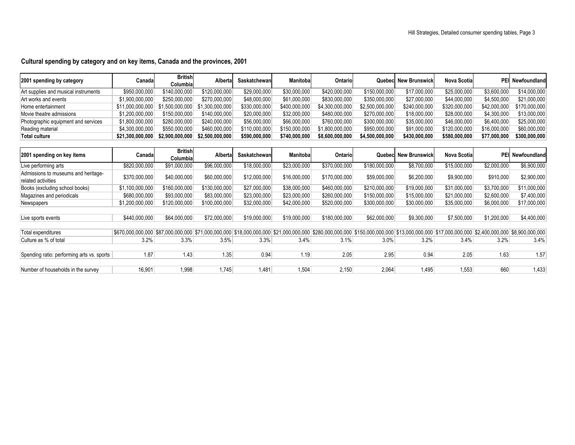### **Cultural spending by category and on key items, Canada and the provinces, 2001**

| 2001 spending by category            | Canada                                              | <b>British</b><br>Columbial | Alberta         | Saskatchewan  | Manitobal     | <b>Ontario</b>  |                 | <b>Quebec</b> New Brunswick | Nova Scotial  |              | <b>PEI</b> Newfoundland |
|--------------------------------------|-----------------------------------------------------|-----------------------------|-----------------|---------------|---------------|-----------------|-----------------|-----------------------------|---------------|--------------|-------------------------|
| Art supplies and musical instruments | \$950,000,000                                       | \$140,000,000               | \$120,000,000   | \$29,000,000  | \$30,000,000  | \$420,000,000   | \$150,000,000   | \$17,000,000                | \$25,000,000  | \$3,600,000  | \$14,000,000            |
| Art works and events                 | \$1,900,000,000                                     | \$250,000,000               | \$270,000,000   | \$48,000,000  | \$61,000,000  | \$830,000,000   | \$350,000,000   | \$27,000,000                | \$44,000,000  | \$4,500,000  | \$21,000,000            |
| Home entertainment                   | $$11,000,000,000$ $$1,500,000,000$ $$1,300,000,000$ |                             |                 | \$330,000,000 | \$400,000,000 | \$4,300,000,000 | \$2,500,000,000 | \$240,000,000               | \$320,000,000 | \$42,000,000 | \$170,000,000           |
| Movie theatre admissions             | \$1,200,000,000                                     | \$150,000,000               | \$140,000,000   | \$20,000,000  | \$32,000,000  | \$480,000,000   | \$270,000,000   | \$18,000,000                | \$28,000,000  | \$4,300,000  | \$13,000,000            |
| Photographic equipment and services  | \$1,800,000,000                                     | \$280,000,000               | \$240,000,000   | \$56,000,000  | \$66,000,000  | \$760,000,000   | \$300,000,000   | \$35,000,000                | \$46,000,000  | \$6,400,000  | \$25,000,000            |
| Reading material                     | \$4,300,000,000                                     | \$550,000,000               | \$460,000,000   | \$110,000,000 | \$150,000,000 | \$1,800,000,000 | \$950,000,000   | \$91,000,000                | \$120,000,000 | \$16,000,000 | \$60,000,000            |
| Total culture                        | \$21,300,000,000                                    | \$2,900,000,000             | \$2.500.000.000 | \$590,000,000 | \$740,000,000 | \$8,600,000,000 | \$4,500,000,000 | \$430,000,000               | \$580,000,000 | \$77,000,000 | \$300,000,000           |

| 2001 spending on key items                                | Canada                                                                                                                                                                                                                                | <b>British</b><br>Columbia | Alberta       | Saskatchewan | <b>Manitobal</b> | Ontario       |               | <b>Quebec</b> New Brunswick | <b>Nova Scotial</b> |             | <b>PEII Newfoundlandl</b> |
|-----------------------------------------------------------|---------------------------------------------------------------------------------------------------------------------------------------------------------------------------------------------------------------------------------------|----------------------------|---------------|--------------|------------------|---------------|---------------|-----------------------------|---------------------|-------------|---------------------------|
| Live performing arts                                      | \$820,000,000                                                                                                                                                                                                                         | \$91,000,000               | \$96,000,000  | \$18,000,000 | \$23,000,000     | \$370,000,000 | \$180,000,000 | \$8,700,000                 | \$15,000,000        | \$2,000,000 | \$6,900,000               |
| Admissions to museums and heritage-<br>related activities | \$370,000,000                                                                                                                                                                                                                         | \$40,000,000               | \$60,000,000  | \$12,000,000 | \$16,000,000     | \$170,000,000 | \$59,000,000  | \$6,200,000                 | \$9,900,000         | \$910,000   | \$2,900,000               |
| Books (excluding school books)                            | \$1,100,000,000                                                                                                                                                                                                                       | \$160,000,000              | \$130,000,000 | \$27,000,000 | \$38,000,000     | \$460,000,000 | \$210,000,000 | \$19,000,000                | \$31,000,000        | \$3,700,000 | \$11,000,000              |
| Magazines and periodicals                                 | \$680,000,000                                                                                                                                                                                                                         | \$93,000,000               | \$83,000,000  | \$23,000,000 | \$23,000,000     | \$260,000,000 | \$150,000,000 | \$15,000,000                | \$21,000,000        | \$2,600,000 | \$7,400,000               |
| Newspapers                                                | \$1,200,000,000                                                                                                                                                                                                                       | \$120,000,000              | \$100,000,000 | \$32,000,000 | \$42,000,000     | \$520,000,000 | \$300,000,000 | \$30,000,000                | \$35,000,000        | \$6,000,000 | \$17,000,000              |
|                                                           |                                                                                                                                                                                                                                       |                            |               |              |                  |               |               |                             |                     |             |                           |
| Live sports events                                        | \$440,000,000                                                                                                                                                                                                                         | \$64,000,000               | \$72,000,000  | \$19,000,000 | \$19,000,000     | \$180,000,000 | \$62,000,000  | \$9,300,000                 | \$7,500,000         | \$1,200,000 | \$4,400,000               |
|                                                           |                                                                                                                                                                                                                                       |                            |               |              |                  |               |               |                             |                     |             |                           |
| Total expenditures                                        | $ \$670.000.000 $ $\$87.000.000 $ $\$71.000.000 $ $\$18.000.000 $ $\$18.000.000 $ $\$21.000.000 $ $\$24.000.000 $ $\$280.000.000 $ $\$150.000.000 $ $\$13.000.000 $ $\$13.000.000 $ $\$17.000.000 $ $\$2.400.000 $ $\$8.900.000.000 $ |                            |               |              |                  |               |               |                             |                     |             |                           |
| Culture as % of total                                     | 3.2%                                                                                                                                                                                                                                  | 3.3%                       | 3.5%          | 3.3%         | 3.4%             | 3.1%          | 3.0%          | 3.2%                        | 3.4%                | 3.2%        | 3.4%                      |
|                                                           |                                                                                                                                                                                                                                       |                            |               |              |                  |               |               |                             |                     |             |                           |
| Spending ratio: performing arts vs. sports                | 1.87                                                                                                                                                                                                                                  | 1.43                       | 1.35          | 0.94         | 1.19             | 2.05          | 2.95          | 0.94                        | 2.05                | 1.63        | 1.57                      |
|                                                           |                                                                                                                                                                                                                                       |                            |               |              |                  |               |               |                             |                     |             |                           |
| Number of households in the survey                        | 16,901                                                                                                                                                                                                                                | 1,998                      | 1,745         | 1.481        | 1,504            | 2,150         | 2,064         | 1.495                       | 1,553               | 660         | 1,433                     |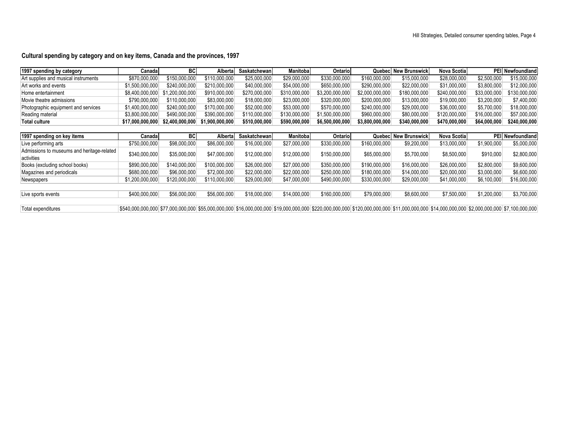### **Cultural spending by category and on key items, Canada and the provinces, 1997**

| 1997 spending by category                  | Canada                                                                                                                                                                                                                                           | <b>BC</b>       | Alberta         | Saskatchewanl | <b>Manitobal</b> | Ontario         | Quebecl         | <b>New Brunswick</b> | Nova Scotia   | PEI           | Newfoundland     |
|--------------------------------------------|--------------------------------------------------------------------------------------------------------------------------------------------------------------------------------------------------------------------------------------------------|-----------------|-----------------|---------------|------------------|-----------------|-----------------|----------------------|---------------|---------------|------------------|
| Art supplies and musical instruments       | \$870,000,000                                                                                                                                                                                                                                    | \$150,000,000   | \$110.000.000   | \$25,000,000  | \$29,000,000     | \$330,000,000   | \$160,000,000   | \$15,000,000         | \$28,000,000  | \$2,500,000   | \$15,000,000     |
| Art works and events                       | \$1,500,000,000                                                                                                                                                                                                                                  | \$240,000,000   | \$210,000,000   | \$40,000,000  | \$54,000,000     | \$650,000,000   | \$290,000,000   | \$22,000,000         | \$31,000,000  | \$3,800,000   | \$12,000,000     |
| Home entertainment                         | \$8,400,000,000                                                                                                                                                                                                                                  | \$1,200,000,000 | \$910,000,000   | \$270,000,000 | \$310,000,000    | \$3,200,000,000 | \$2,000,000,000 | \$180,000,000        | \$240,000,000 | \$33,000,000  | \$130,000,000    |
| Movie theatre admissions                   | \$790,000,000                                                                                                                                                                                                                                    | \$110.000.000   | \$83,000,000    | \$18,000,000  | \$23,000,000     | \$320,000,000   | \$200,000,000   | \$13,000,000         | \$19,000,000  | \$3,200,000   | \$7,400,000      |
| Photographic equipment and services        | \$1,400,000,000                                                                                                                                                                                                                                  | \$240,000,000   | \$170,000,000   | \$52,000,000  | \$53,000,000     | \$570,000,000   | \$240,000,000   | \$29,000,000         | \$36,000,000  | \$5,700,000   | \$18,000,000     |
| Reading material                           | \$3,800,000,000                                                                                                                                                                                                                                  | \$490,000,000   | \$390,000,000   | \$110,000,000 | \$130,000.000    | \$1,500,000,000 | \$960,000,000   | \$80,000,000         | \$120,000,000 | \$16,000,000  | \$57,000,000     |
| <b>Total culture</b>                       | \$17,000,000,000                                                                                                                                                                                                                                 | \$2,400,000,000 | \$1,900,000,000 | \$510,000,000 | \$590,000,000    | \$6,500,000,000 | \$3,800,000,000 | \$340,000,000        | \$470,000,000 | \$64,000,000∣ | \$240,000,000    |
|                                            |                                                                                                                                                                                                                                                  |                 |                 |               |                  |                 |                 |                      |               |               |                  |
| 1997 spending on key items                 | Canada                                                                                                                                                                                                                                           | <b>BC</b>       | Alberta         | Saskatchewanl | <b>Manitobal</b> | <b>Ontariol</b> | Quebecl         | <b>New Brunswick</b> | Nova Scotia   |               | PEI Newfoundland |
| Live performing arts                       | \$750,000,000                                                                                                                                                                                                                                    | \$98,000,000    | \$86,000,000    | \$16,000,000  | \$27,000,000     | \$330,000,000   | \$160,000,000   | \$9,200,000          | \$13,000,000  | \$1,900,000   | \$5,000,000      |
| Admissions to museums and heritage-related | \$340,000,000                                                                                                                                                                                                                                    | \$35,000,000    | \$47,000,000    | \$12,000,000  | \$12,000,000     | \$150,000,000   | \$65,000,000    | \$5,700,000          | \$8,500,000   | \$910,000     | \$2,800,000      |
| activities                                 |                                                                                                                                                                                                                                                  |                 |                 |               |                  |                 |                 |                      |               |               |                  |
| Books (excluding school books)             | \$890,000,000                                                                                                                                                                                                                                    | \$140,000,000   | \$100,000,000   | \$26,000,000  | \$27,000,000     | \$350,000,000   | \$190,000,000   | \$16,000,000         | \$26,000,000  | \$2,800,000   | \$9,600,000      |
| Magazines and periodicals                  | \$680,000,000                                                                                                                                                                                                                                    | \$96,000,000    | \$72,000,000    | \$22,000,000  | \$22,000,000     | \$250,000,000   | \$180,000,000   | \$14,000,000         | \$20,000,000  | \$3,000,000   | \$6,600,000      |
| Newspapers                                 | \$1,200,000,000                                                                                                                                                                                                                                  | \$120,000,000   | \$110,000,000   | \$29,000,000  | \$47,000,000     | \$490,000,000   | \$330,000,000   | \$29,000,000         | \$41,000,000  | \$6,100,000   | \$16,000,000     |
|                                            |                                                                                                                                                                                                                                                  |                 |                 |               |                  |                 |                 |                      |               |               |                  |
| Live sports events                         | \$400,000,000                                                                                                                                                                                                                                    | \$56,000,000    | \$56,000,000    | \$18,000,000  | \$14,000,000     | \$160,000,000   | \$79,000,000    | \$8,600,000          | \$7,500,000   | \$1,200,000   | \$3,700,000      |
|                                            |                                                                                                                                                                                                                                                  |                 |                 |               |                  |                 |                 |                      |               |               |                  |
| Total expenditures                         | \$57,000,000  \$77,000,000  \$55,000,000  \$16,000,000  \$16,000,000  \$19,000,000  \$220,000,000  \$120,000,000  \$120,000,000  \$11,000,000  \$14,000,000  \$14,000,000  \$2,000,000  \$7,100,000  \$7,100,000  \$7,100,000  \$7,100,000  \$7, |                 |                 |               |                  |                 |                 |                      |               |               |                  |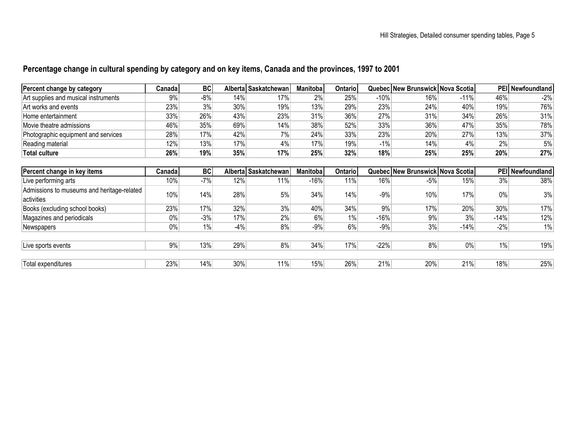## **Percentage change in cultural spending by category and on key items, Canada and the provinces, 1997 to 2001**

| Percent change by category           | <b>Canada</b> | BC  |     | Alberta Saskatchewan | <b>Manitoba</b> | <b>Ontariol</b> |        | Quebec New Brunswick Nova Scotial |        |     | <b>PEII Newfoundland</b> |
|--------------------------------------|---------------|-----|-----|----------------------|-----------------|-----------------|--------|-----------------------------------|--------|-----|--------------------------|
| Art supplies and musical instruments | 9%            | -8% | 14% | 17%                  | 2%              | 25%             | -10%   | 16%                               | $-11%$ | 46% | $-2%$                    |
| Art works and events                 | 23%           | 3%  | 30% | 19%                  | 13%             | 29%             | 23%    | 24%                               | 40%    | 19% | 76%                      |
| Home entertainment                   | 33%           | 26% | 43% | 23%                  | 31%             | 36%             | 27%    | 31%                               | 34%    | 26% | 31%                      |
| Movie theatre admissions             | 46%           | 35% | 69% | 14%                  | 38%             | 52%             | 33%    | 36%                               | 47%    | 35% | 78%                      |
| Photographic equipment and services  | 28%           | 17% | 42% | $7\%$                | 24%             | 33%             | 23%    | 20%                               | 27%    | 13% | 37%                      |
| Reading material                     | 12%           | 13% | 17% | 4%                   | 17%             | 19%             | $-1\%$ | 14%                               | 4%     | 2%  | 5%                       |
| Total culture                        | 26%           | 19% | 35% | 17%                  | 25%             | 32%             | 18%    | 25%                               | 25%    | 20% | 27%                      |

| Percent change in key items                | Canadal | <b>BC</b> |       | Alberta Saskatchewan | <b>Manitoba</b> | <b>Ontario</b> |        | Quebec New Brunswick Nova Scotia |        |        | PEI Newfoundland |
|--------------------------------------------|---------|-----------|-------|----------------------|-----------------|----------------|--------|----------------------------------|--------|--------|------------------|
| Live performing arts                       | 10%     | $-7%$     | 12%   | 11%                  | $-16%$          | 11%            | 16%    | $-5%$                            | 15%    | 3%     | 38%              |
| Admissions to museums and heritage-related | 10%     | 14%       | 28%   | 5%                   | 34%             | 14%            | $-9%$  | 10%                              | 17%    | $0\%$  | 3%               |
| activities                                 |         |           |       |                      |                 |                |        |                                  |        |        |                  |
| Books (excluding school books)             | 23%     | 17%       | 32%   | 3%                   | 40%             | 34%            | 9%     | 17%                              | 20%    | 30%    | 17%              |
| Magazines and periodicals                  | 0%      | $-3%$     | 17%   | 2%                   | 6%              | $1\%$          | $-16%$ | 9%                               | 3%     | $-14%$ | 12%              |
| Newspapers                                 | $0\%$   | 1%        | $-4%$ | 8%                   | $-9%$           | 6%             | $-9%$  | 3%                               | $-14%$ | $-2%$  | $1\%$            |
|                                            |         |           |       |                      |                 |                |        |                                  |        |        |                  |
| Live sports events                         | 9%      | 13%       | 29%   | 8%                   | 34%             | 17%            | $-22%$ | 8%                               | 0%     | $1\%$  | 19%              |
|                                            |         |           |       |                      |                 |                |        |                                  |        |        |                  |
| Total expenditures                         | 23%     | 14%       | 30%   | 11%                  | 15%             | 26%            | 21%    | 20%                              | 21%    | 18%    | 25%              |